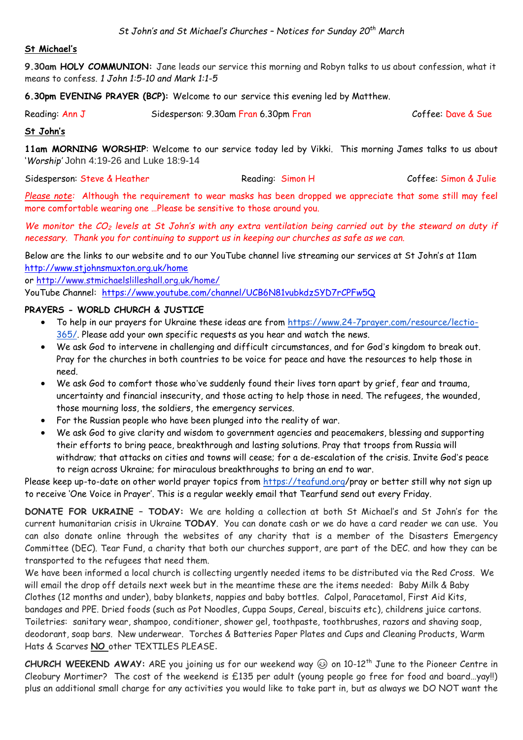## **St Michael's**

**9.30am HOLY COMMUNION:** Jane leads our service this morning and Robyn talks to us about confession, what it means to confess. *1 John 1:5-10 and Mark 1:1-5*

**6.30pm EVENING PRAYER (BCP):** Welcome to our service this evening led by Matthew.

| Reading: Ann J | Sidesperson: 9.30am Fran 6.30pm Fran | Coffee: Dave & Sue |
|----------------|--------------------------------------|--------------------|
|----------------|--------------------------------------|--------------------|

### **St John's**

**11am MORNING WORSHIP**: Welcome to our service today led by Vikki. This morning James talks to us about '*Worship'* John 4:19-26 and Luke 18:9-14

Sidesperson: Steve & Heather Reading: Simon H Coffee: Simon & Julie

*Please note:* Although the requirement to wear masks has been dropped we appreciate that some still may feel more comfortable wearing one …Please be sensitive to those around you.

*We monitor the CO<sup>2</sup> levels at St John's with any extra ventilation being carried out by the steward on duty if necessary. Thank you for continuing to support us in keeping our churches as safe as we can.* 

Below are the links to our website and to our YouTube channel live streaming our services at St John's at 11am <http://www.stjohnsmuxton.org.uk/home>

or<http://www.stmichaelslilleshall.org.uk/home/>

YouTube Channel: <https://www.youtube.com/channel/UCB6N81vubkdzSYD7rCPFw5Q>

## **PRAYERS - WORLD CHURCH & JUSTICE**

- To help in our prayers for Ukraine these ideas are from [https://www.24-7prayer.com/resource/lectio-](https://www.24-7prayer.com/resource/lectio-365/)[365/.](https://www.24-7prayer.com/resource/lectio-365/) Please add your own specific requests as you hear and watch the news.
- We ask God to intervene in challenging and difficult circumstances, and for God's kingdom to break out. Pray for the churches in both countries to be voice for peace and have the resources to help those in need.
- We ask God to comfort those who've suddenly found their lives torn apart by grief, fear and trauma, uncertainty and financial insecurity, and those acting to help those in need. The refugees, the wounded, those mourning loss, the soldiers, the emergency services.
- For the Russian people who have been plunged into the reality of war.
- We ask God to give clarity and wisdom to government agencies and peacemakers, blessing and supporting their efforts to bring peace, breakthrough and lasting solutions. Pray that troops from Russia will withdraw; that attacks on cities and towns will cease; for a de-escalation of the crisis. Invite God's peace to reign across Ukraine; for miraculous breakthroughs to bring an end to war.

Please keep up-to-date on other world prayer topics from <https://teafund.org/>pray or better still why not sign up to receive 'One Voice in Prayer'. This is a regular weekly email that Tearfund send out every Friday.

**DONATE FOR UKRAINE – TODAY:** We are holding a collection at both St Michael's and St John's for the current humanitarian crisis in Ukraine **TODAY**. You can donate cash or we do have a card reader we can use. You can also donate online through the websites of any charity that is a member of the Disasters Emergency Committee (DEC). Tear Fund, a charity that both our churches support, are part of the DEC. and how they can be transported to the refugees that need them.

We have been informed a local church is collecting urgently needed items to be distributed via the Red Cross. We will email the drop off details next week but in the meantime these are the items needed: Baby Milk & Baby Clothes (12 months and under), baby blankets, nappies and baby bottles. Calpol, Paracetamol, First Aid Kits, bandages and PPE. Dried foods (such as Pot Noodles, Cuppa Soups, Cereal, biscuits etc), childrens juice cartons. Toiletries: sanitary wear, shampoo, conditioner, shower gel, toothpaste, toothbrushes, razors and shaving soap, deodorant, soap bars. New underwear. Torches & Batteries Paper Plates and Cups and Cleaning Products, Warm Hats & Scarves **NO** other TEXTILES PLEASE.

**CHURCH WEEKEND AWAY:** ARE you joining us for our weekend way  $\odot$  on 10-12<sup>th</sup> June to the Pioneer Centre in Cleobury Mortimer? The cost of the weekend is £135 per adult (young people go free for food and board…yay!!) plus an additional small charge for any activities you would like to take part in, but as always we DO NOT want the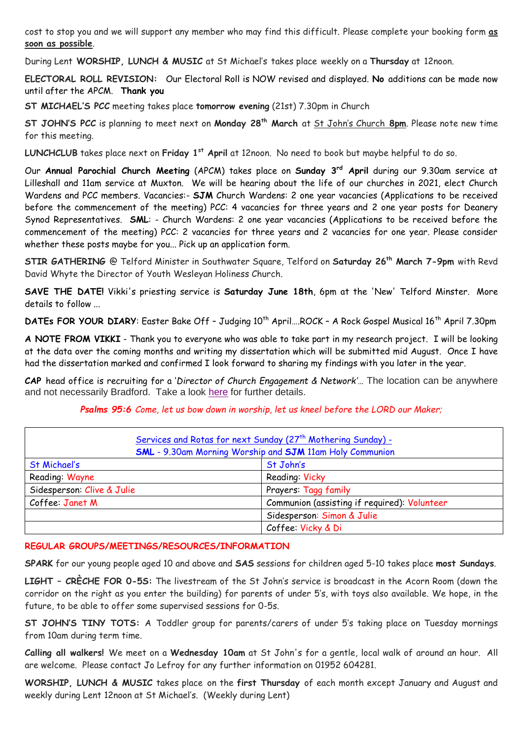cost to stop you and we will support any member who may find this difficult. Please complete your booking form **as soon as possible**.

During Lent **WORSHIP, LUNCH & MUSIC** at St Michael's takes place weekly on a **Thursday** at 12noon.

**ELECTORAL ROLL REVISION:** Our Electoral Roll is NOW revised and displayed. **No** additions can be made now until after the APCM. **Thank you**

**ST MICHAEL'S PCC** meeting takes place **tomorrow evening** (21st) 7.30pm in Church

**ST JOHN'S PCC** is planning to meet next on **Monday 28th March** at St John's Church **8pm**. Please note new time for this meeting.

**LUNCHCLUB** takes place next on **Friday 1st April** at 12noon. No need to book but maybe helpful to do so.

Our **Annual Parochial Church Meeting** (APCM) takes place on **Sunday 3rd April** during our 9.30am service at Lilleshall and 11am service at Muxton. We will be hearing about the life of our churches in 2021, elect Church Wardens and PCC members. Vacancies:- **SJM** Church Wardens: 2 one year vacancies (Applications to be received before the commencement of the meeting) PCC: 4 vacancies for three years and 2 one year posts for Deanery Synod Representatives. **SML**: - Church Wardens: 2 one year vacancies (Applications to be received before the commencement of the meeting) PCC: 2 vacancies for three years and 2 vacancies for one year. Please consider whether these posts maybe for you... Pick up an application form.

**STIR GATHERING** @ Telford Minister in Southwater Square, Telford on **Saturday 26th March 7-9pm** with Revd David Whyte the Director of Youth Wesleyan Holiness Church.

**SAVE THE DATE!** Vikki's priesting service is **Saturday June 18th**, 6pm at the 'New' Telford Minster. More details to follow ...

**DATEs FOR YOUR DIARY:** Easter Bake Off - Judging 10<sup>th</sup> April....ROCK - A Rock Gospel Musical 16<sup>th</sup> April 7.30pm

**A NOTE FROM VIKKI** - Thank you to everyone who was able to take part in my research project. I will be looking at the data over the coming months and writing my dissertation which will be submitted mid August. Once I have had the dissertation marked and confirmed I look forward to sharing my findings with you later in the year.

**CAP** head office is recruiting for a '*Director of Church Engagement & Network'*… The location can be anywhere and not necessarily Bradford. Take a look [here](https://capuk.org/get-involved/you/join-the-team/jobs/director-of-church-engagement-network) for further details.

*Psalms 95:6 Come, let us bow down in worship, let us kneel before the LORD our Maker;*

| Services and Rotas for next Sunday (27 <sup>th</sup> Mothering Sunday) -<br><b>SML</b> - 9.30am Morning Worship and <b>SJM</b> 11am Holy Communion |                                              |  |
|----------------------------------------------------------------------------------------------------------------------------------------------------|----------------------------------------------|--|
| <b>St Michael's</b>                                                                                                                                | St John's                                    |  |
| Reading Wayne                                                                                                                                      | Reading: Vicky                               |  |
| Sidesperson: Clive & Julie                                                                                                                         | Prayers: Tagg family                         |  |
| Coffee: Janet M                                                                                                                                    | Communion (assisting if required): Volunteer |  |
|                                                                                                                                                    | Sidesperson: Simon & Julie                   |  |
|                                                                                                                                                    | Coffee: Vicky & Di                           |  |

#### **REGULAR GROUPS/MEETINGS/RESOURCES/INFORMATION**

**SPARK** for our young people aged 10 and above and **SAS** sessions for children aged 5-10 takes place **most Sundays**.

**LIGHT – CRÈCHE FOR 0-5S:** The livestream of the St John's service is broadcast in the Acorn Room (down the corridor on the right as you enter the building) for parents of under 5's, with toys also available. We hope, in the future, to be able to offer some supervised sessions for 0-5s.

**ST JOHN'S TINY TOTS:** A Toddler group for parents/carers of under 5's taking place on Tuesday mornings from 10am during term time.

**Calling all walkers!** We meet on a **Wednesday 10am** at St John's for a gentle, local walk of around an hour. All are welcome. Please contact Jo Lefroy for any further information on 01952 604281.

**WORSHIP, LUNCH & MUSIC** takes place on the **first Thursday** of each month except January and August and weekly during Lent 12noon at St Michael's. (Weekly during Lent)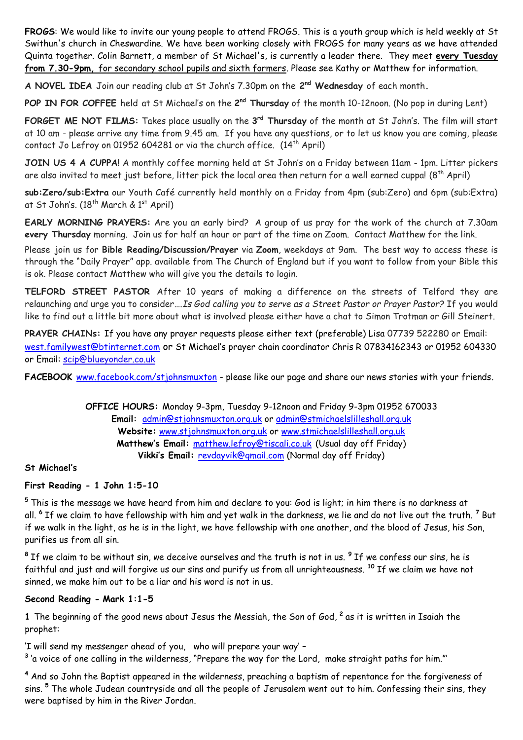**FROGS**: We would like to invite our young people to attend FROGS. This is a youth group which is held weekly at St Swithun's church in Cheswardine. We have been working closely with FROGS for many years as we have attended Quinta together. Colin Barnett, a member of St Michael's, is currently a leader there. They meet **every Tuesday from 7.30-9pm,** for secondary school pupils and sixth formers. Please see Kathy or Matthew for information.

**A NOVEL IDEA** Join our reading club at St John's 7.30pm on the **2 nd Wednesday** of each month**.**

**POP IN FOR COFFEE** held at St Michael's on the 2<sup>nd</sup> Thursday of the month 10-12noon. (No pop in during Lent)

**FORGET ME NOT FILMS:** Takes place usually on the **3 rd Thursday** of the month at St John's. The film will start at 10 am - please arrive any time from 9.45 am. If you have any questions, or to let us know you are coming, please contact Jo Lefroy on 01952 604281 or via the church office.  $(14<sup>th</sup>$  April)

**JOIN US 4 A CUPPA!** A monthly coffee morning held at St John's on a Friday between 11am - 1pm. Litter pickers are also invited to meet just before, litter pick the local area then return for a well earned cuppa! (8<sup>th</sup> April)

**sub:Zero/sub:Extra** our Youth Café currently held monthly on a Friday from 4pm (sub:Zero) and 6pm (sub:Extra) at St John's. (18<sup>th</sup> March & 1<sup>st</sup> April)

**EARLY MORNING PRAYERS:** Are you an early bird? A group of us pray for the work of the church at 7.30am **every Thursday** morning. Join us for half an hour or part of the time on Zoom. Contact Matthew for the link.

Please join us for **Bible Reading/Discussion/Prayer** via **Zoom**, weekdays at 9am. The best way to access these is through the "Daily Prayer" app. available from The Church of England but if you want to follow from your Bible this is ok. Please contact Matthew who will give you the details to login.

**TELFORD STREET PASTOR** After 10 years of making a difference on the streets of Telford they are relaunching and urge you to consider….*Is God calling you to serve as a Street Pastor or Prayer Pastor?* If you would like to find out a little bit more about what is involved please either have a chat to Simon Trotman or Gill Steinert.

**PRAYER CHAINs:** If you have any prayer requests please either text (preferable) Lisa 07739 522280 or Email: [west.familywest@btinternet.com](mailto:west.familywest@btinternet.com) or St Michael's prayer chain coordinator Chris R 07834162343 or 01952 604330 or Email: [scip@blueyonder.co.uk](mailto:scip@blueyonder.co.uk)

FACEBOOK [www.facebook.com/stjohnsmuxton](http://www.facebook.com/stjohnsmuxton) - please like our page and share our news stories with your friends.

**OFFICE HOURS:** Monday 9-3pm, Tuesday 9-12noon and Friday 9-3pm 01952 670033 **Email:** admin[@stjohnsmuxton.o](http://stjohnsmuxton/)rg.uk or [admin@stmichaelslilleshall.org.uk](mailto:admin@stmichaelslilleshall.org.uk) **Website:** [www.stjohnsmuxton.org.uk](http://www.stjohnsmuxton.org.uk/) or www.stmichaelslilleshall.org.uk **Matthew's Email:** [matthew.lefroy@tiscali.co.uk](mailto:matthew.lefroy@tiscali.co.uk) (Usual day off Friday) **Vikki's Email:** [revdayvik@gmail.com](mailto:revdayvik@gmail.com) (Normal day off Friday)

#### **St Michael's**

## **First Reading - 1 John 1:5-10**

**<sup>5</sup>** This is the message we have heard from him and declare to you: God is light; in him there is no darkness at all. **<sup>6</sup>** If we claim to have fellowship with him and yet walk in the darkness, we lie and do not live out the truth. **<sup>7</sup>** But if we walk in the light, as he is in the light, we have fellowship with one another, and the blood of Jesus, his Son, purifies us from all sin.

**8** If we claim to be without sin, we deceive ourselves and the truth is not in us. **<sup>9</sup>** If we confess our sins, he is faithful and just and will forgive us our sins and purify us from all unrighteousness. **<sup>10</sup>** If we claim we have not sinned, we make him out to be a liar and his word is not in us.

#### **Second Reading - Mark 1:1-5**

**1** The beginning of the good news about Jesus the Messiah, the Son of God, **2** as it is written in Isaiah the prophet:

'I will send my messenger ahead of you, who will prepare your way' –

**3** 'a voice of one calling in the wilderness, "Prepare the way for the Lord, make straight paths for him."'

**<sup>4</sup>** And so John the Baptist appeared in the wilderness, preaching a baptism of repentance for the forgiveness of sins. **<sup>5</sup>** The whole Judean countryside and all the people of Jerusalem went out to him. Confessing their sins, they were baptised by him in the River Jordan.